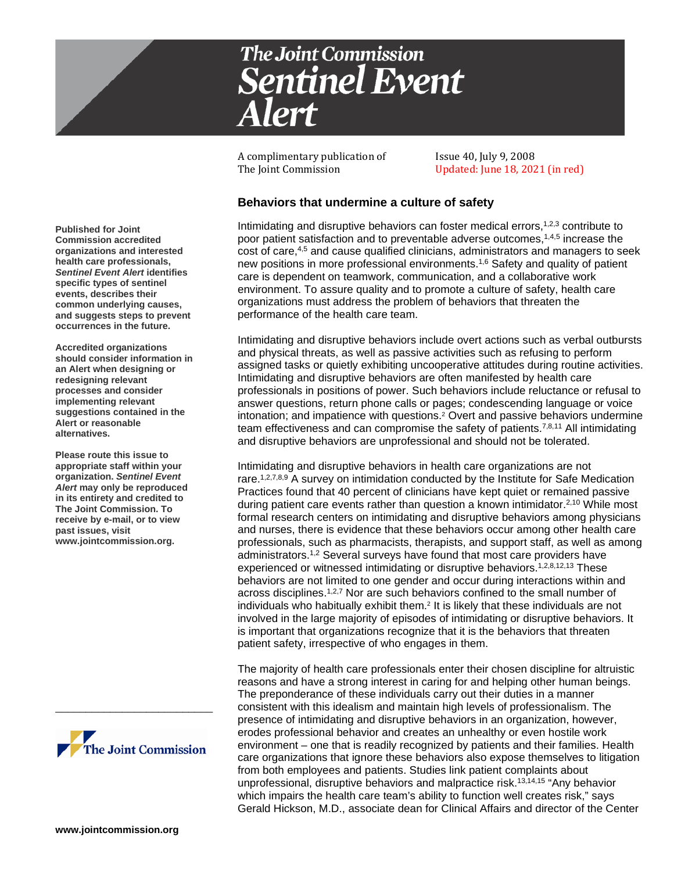

A complimentary publication of Issue 40, July 9, 2008

Updated: June 18, 2021 (in red)

# **Behaviors that undermine a culture of safety**

Intimidating and disruptive behaviors can foster medical errors,1,2,3 contribute to poor patient satisfaction and to preventable adverse outcomes,1,4,5 increase the cost of care,4,5 and cause qualified clinicians, administrators and managers to seek new positions in more professional environments.1,6 Safety and quality of patient care is dependent on teamwork, communication, and a collaborative work environment. To assure quality and to promote a culture of safety, health care organizations must address the problem of behaviors that threaten the performance of the health care team.

Intimidating and disruptive behaviors include overt actions such as verbal outbursts and physical threats, as well as passive activities such as refusing to perform assigned tasks or quietly exhibiting uncooperative attitudes during routine activities. Intimidating and disruptive behaviors are often manifested by health care professionals in positions of power. Such behaviors include reluctance or refusal to answer questions, return phone calls or pages; condescending language or voice intonation; and impatience with questions.2 Overt and passive behaviors undermine team effectiveness and can compromise the safety of patients.7,8,11 All intimidating and disruptive behaviors are unprofessional and should not be tolerated.

Intimidating and disruptive behaviors in health care organizations are not rare.<sup>1,2,7,8,9</sup> A survey on intimidation conducted by the Institute for Safe Medication Practices found that 40 percent of clinicians have kept quiet or remained passive during patient care events rather than question a known intimidator.<sup>2,10</sup> While most formal research centers on intimidating and disruptive behaviors among physicians and nurses, there is evidence that these behaviors occur among other health care professionals, such as pharmacists, therapists, and support staff, as well as among administrators. 1,2 Several surveys have found that most care providers have experienced or witnessed intimidating or disruptive behaviors.<sup>1,2,8,12,13</sup> These behaviors are not limited to one gender and occur during interactions within and across disciplines.<sup>1,2,7</sup> Nor are such behaviors confined to the small number of individuals who habitually exhibit them. <sup>2</sup> It is likely that these individuals are not involved in the large majority of episodes of intimidating or disruptive behaviors. It is important that organizations recognize that it is the behaviors that threaten patient safety, irrespective of who engages in them.

The majority of health care professionals enter their chosen discipline for altruistic reasons and have a strong interest in caring for and helping other human beings. The preponderance of these individuals carry out their duties in a manner consistent with this idealism and maintain high levels of professionalism. The presence of intimidating and disruptive behaviors in an organization, however, erodes professional behavior and creates an unhealthy or even hostile work environment – one that is readily recognized by patients and their families. Health care organizations that ignore these behaviors also expose themselves to litigation from both employees and patients. Studies link patient complaints about unprofessional, disruptive behaviors and malpractice risk.13,14,15 "Any behavior which impairs the health care team's ability to function well creates risk," says Gerald Hickson, M.D., associate dean for Clinical Affairs and director of the Center

**Published for Joint Commission accredited organizations and interested health care professionals,**  *Sentinel Event Alert* **identifies specific types of sentinel events, describes their common underlying causes, and suggests steps to prevent occurrences in the future.**

**Accredited organizations should consider information in an Alert when designing or redesigning relevant processes and consider implementing relevant suggestions contained in the Alert or reasonable alternatives.** 

**Please route this issue to appropriate staff within your organization.** *Sentinel Event Alert* **may only be reproduced in its entirety and credited to The Joint Commission. To receive by e-mail, or to view past issues, visit www.jointcommission.org.**



\_\_\_\_\_\_\_\_\_\_\_\_\_\_\_\_\_\_\_\_\_\_\_\_\_\_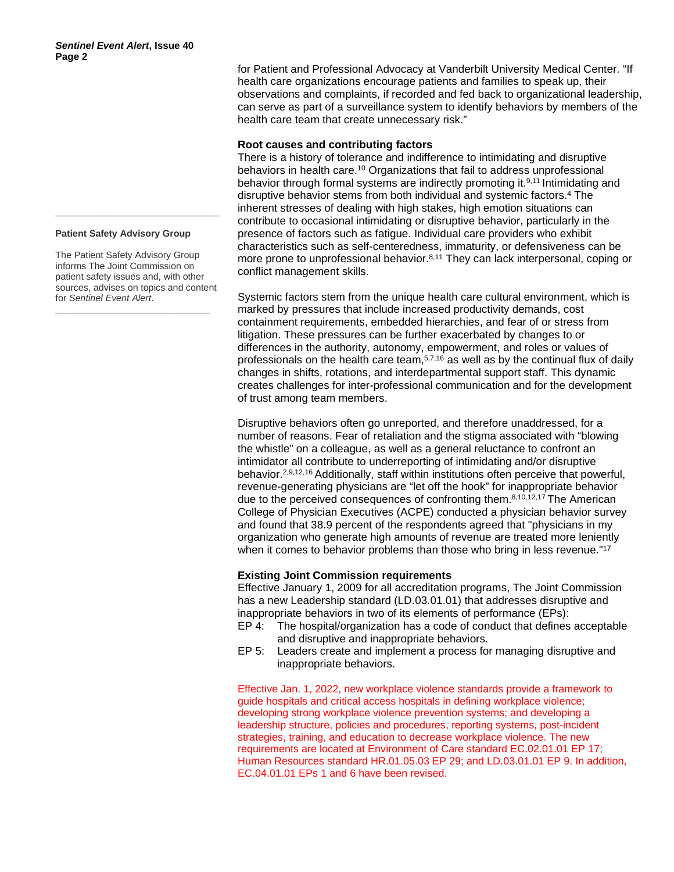#### **Patient Safety Advisory Group**

The Patient Safety Advisory Group informs The Joint Commission on patient safety issues and, with other sources, advises on topics and content for *Sentinel Event Alert*.

\_\_\_\_\_\_\_\_\_\_\_\_\_\_\_\_\_\_\_\_\_\_\_\_\_\_\_\_\_\_\_\_\_

\_\_\_\_\_\_\_\_\_\_\_\_\_\_\_\_\_\_\_\_\_\_\_\_\_\_\_\_\_\_\_\_\_\_\_

for Patient and Professional Advocacy at Vanderbilt University Medical Center. "If health care organizations encourage patients and families to speak up, their observations and complaints, if recorded and fed back to organizational leadership, can serve as part of a surveillance system to identify behaviors by members of the health care team that create unnecessary risk."

### **Root causes and contributing factors**

There is a history of tolerance and indifference to intimidating and disruptive behaviors in health care. <sup>10</sup> Organizations that fail to address unprofessional behavior through formal systems are indirectly promoting it.9,11 Intimidating and disruptive behavior stems from both individual and systemic factors.4 The inherent stresses of dealing with high stakes, high emotion situations can contribute to occasional intimidating or disruptive behavior, particularly in the presence of factors such as fatigue. Individual care providers who exhibit characteristics such as self-centeredness, immaturity, or defensiveness can be more prone to unprofessional behavior.<sup>8,11</sup> They can lack interpersonal, coping or conflict management skills.

Systemic factors stem from the unique health care cultural environment, which is marked by pressures that include increased productivity demands, cost containment requirements, embedded hierarchies, and fear of or stress from litigation. These pressures can be further exacerbated by changes to or differences in the authority, autonomy, empowerment, and roles or values of professionals on the health care team,  $5,7,16$  as well as by the continual flux of daily changes in shifts, rotations, and interdepartmental support staff. This dynamic creates challenges for inter-professional communication and for the development of trust among team members.

Disruptive behaviors often go unreported, and therefore unaddressed, for a number of reasons. Fear of retaliation and the stigma associated with "blowing the whistle" on a colleague, as well as a general reluctance to confront an intimidator all contribute to underreporting of intimidating and/or disruptive behavior. 2,9,12,16 Additionally, staff within institutions often perceive that powerful, revenue-generating physicians are "let off the hook" for inappropriate behavior due to the perceived consequences of confronting them.<sup>8,10,12,17</sup> The American College of Physician Executives (ACPE) conducted a physician behavior survey and found that 38.9 percent of the respondents agreed that "physicians in my organization who generate high amounts of revenue are treated more leniently when it comes to behavior problems than those who bring in less revenue."<sup>17</sup>

### **Existing Joint Commission requirements**

Effective January 1, 2009 for all accreditation programs, The Joint Commission has a new Leadership standard (LD.03.01.01) that addresses disruptive and inappropriate behaviors in two of its elements of performance (EPs):

- EP 4: The hospital/organization has a code of conduct that defines acceptable and disruptive and inappropriate behaviors.
- EP 5: Leaders create and implement a process for managing disruptive and inappropriate behaviors.

Effective Jan. 1, 2022, new workplace violence standards provide a framework to guide hospitals and critical access hospitals in defining workplace violence; developing strong workplace violence prevention systems; and developing a leadership structure, policies and procedures, reporting systems, post-incident strategies, training, and education to decrease workplace violence. The new requirements are located at Environment of Care standard EC.02.01.01 EP 17; Human Resources standard HR.01.05.03 EP 29; and LD.03.01.01 EP 9. In addition, EC.04.01.01 EPs 1 and 6 have been revised.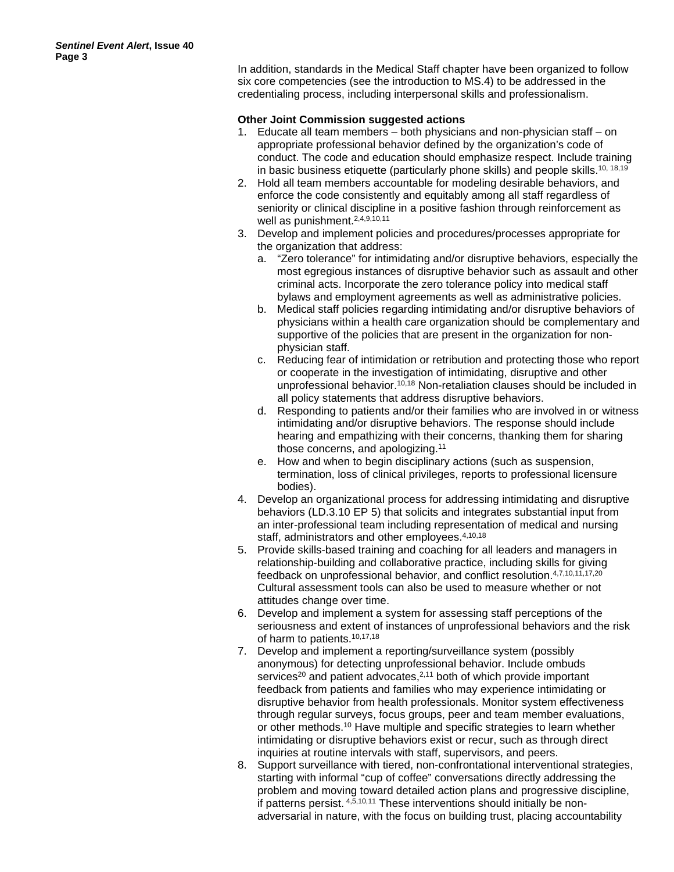In addition, standards in the Medical Staff chapter have been organized to follow six core competencies (see the introduction to MS.4) to be addressed in the credentialing process, including interpersonal skills and professionalism.

## **Other Joint Commission suggested actions**

- 1. Educate all team members both physicians and non-physician staff on appropriate professional behavior defined by the organization's code of conduct. The code and education should emphasize respect. Include training in basic business etiquette (particularly phone skills) and people skills.<sup>10, 18,19</sup>
- 2. Hold all team members accountable for modeling desirable behaviors, and enforce the code consistently and equitably among all staff regardless of seniority or clinical discipline in a positive fashion through reinforcement as well as punishment.<sup>2,4,9,10,11</sup>
- 3. Develop and implement policies and procedures/processes appropriate for the organization that address:
	- a. "Zero tolerance" for intimidating and/or disruptive behaviors, especially the most egregious instances of disruptive behavior such as assault and other criminal acts. Incorporate the zero tolerance policy into medical staff bylaws and employment agreements as well as administrative policies.
	- b. Medical staff policies regarding intimidating and/or disruptive behaviors of physicians within a health care organization should be complementary and supportive of the policies that are present in the organization for nonphysician staff.
	- c. Reducing fear of intimidation or retribution and protecting those who report or cooperate in the investigation of intimidating, disruptive and other unprofessional behavior.10,18 Non-retaliation clauses should be included in all policy statements that address disruptive behaviors.
	- d. Responding to patients and/or their families who are involved in or witness intimidating and/or disruptive behaviors. The response should include hearing and empathizing with their concerns, thanking them for sharing those concerns, and apologizing.11
	- e. How and when to begin disciplinary actions (such as suspension, termination, loss of clinical privileges, reports to professional licensure bodies).
- 4. Develop an organizational process for addressing intimidating and disruptive behaviors (LD.3.10 EP 5) that solicits and integrates substantial input from an inter-professional team including representation of medical and nursing staff, administrators and other employees.<sup>4,10,18</sup>
- 5. Provide skills-based training and coaching for all leaders and managers in relationship-building and collaborative practice, including skills for giving feedback on unprofessional behavior, and conflict resolution. 4,7,10,11,17,20 Cultural assessment tools can also be used to measure whether or not attitudes change over time.
- 6. Develop and implement a system for assessing staff perceptions of the seriousness and extent of instances of unprofessional behaviors and the risk of harm to patients.10,17,18
- 7. Develop and implement a reporting/surveillance system (possibly anonymous) for detecting unprofessional behavior. Include ombuds services<sup>20</sup> and patient advocates,<sup>2,11</sup> both of which provide important feedback from patients and families who may experience intimidating or disruptive behavior from health professionals. Monitor system effectiveness through regular surveys, focus groups, peer and team member evaluations, or other methods.10 Have multiple and specific strategies to learn whether intimidating or disruptive behaviors exist or recur, such as through direct inquiries at routine intervals with staff, supervisors, and peers.
- 8. Support surveillance with tiered, non-confrontational interventional strategies, starting with informal "cup of coffee" conversations directly addressing the problem and moving toward detailed action plans and progressive discipline, if patterns persist. 4,5,10,11 These interventions should initially be nonadversarial in nature, with the focus on building trust, placing accountability